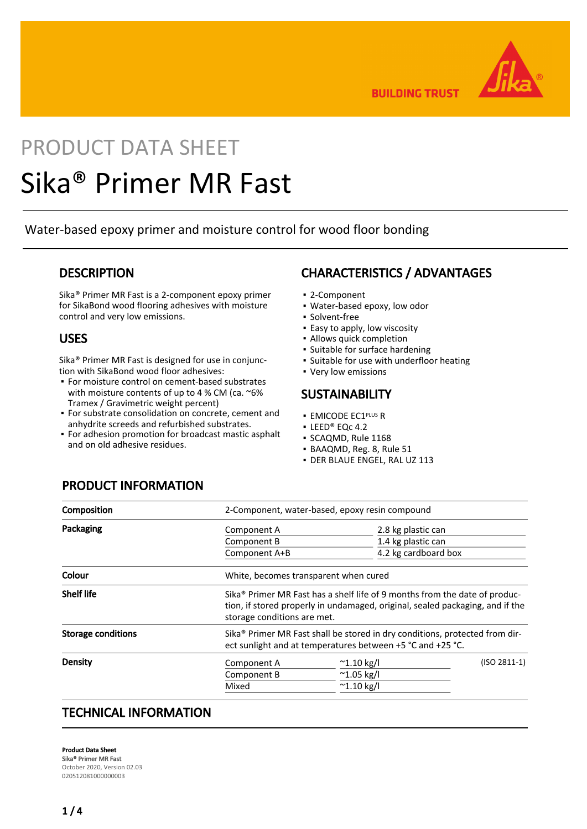

**BUILDING TRUST** 

# PRODUCT DATA SHEET Sika® Primer MR Fast

Water-based epoxy primer and moisture control for wood floor bonding

### **DESCRIPTION**

Sika® Primer MR Fast is a 2-component epoxy primer for SikaBond wood flooring adhesives with moisture control and very low emissions.

### USES

Sika® Primer MR Fast is designed for use in conjunction with SikaBond wood floor adhesives:

- For moisture control on cement-based substrates with moisture contents of up to 4 % CM (ca. ~6% Tramex / Gravimetric weight percent)
- **For substrate consolidation on concrete, cement and** anhydrite screeds and refurbished substrates.
- For adhesion promotion for broadcast mastic asphalt and on old adhesive residues.

# CHARACTERISTICS / ADVANTAGES

- 2-Component
- Water-based epoxy, low odor
- Solvent-free
- **Easy to apply, low viscosity**
- Allows quick completion
- Suitable for surface hardening
- Suitable for use with underfloor heating
- Very low emissions

### **SUSTAINABILITY**

- **EMICODE EC1PLUS R**
- LEED® EQc 4.2
- SCAQMD, Rule 1168
- BAAQMD, Reg. 8, Rule 51
- DER BLAUE ENGEL, RAL UZ 113

# PRODUCT INFORMATION

| Composition               | 2-Component, water-based, epoxy resin compound                                                                                                                                                         |                      |                |
|---------------------------|--------------------------------------------------------------------------------------------------------------------------------------------------------------------------------------------------------|----------------------|----------------|
| Packaging                 | Component A                                                                                                                                                                                            | 2.8 kg plastic can   |                |
|                           | Component B                                                                                                                                                                                            | 1.4 kg plastic can   |                |
|                           | Component A+B                                                                                                                                                                                          | 4.2 kg cardboard box |                |
| Colour                    | White, becomes transparent when cured                                                                                                                                                                  |                      |                |
| <b>Shelf life</b>         | Sika <sup>®</sup> Primer MR Fast has a shelf life of 9 months from the date of produc-<br>tion, if stored properly in undamaged, original, sealed packaging, and if the<br>storage conditions are met. |                      |                |
| <b>Storage conditions</b> | Sika® Primer MR Fast shall be stored in dry conditions, protected from dir-<br>ect sunlight and at temperatures between +5 °C and +25 °C.                                                              |                      |                |
| Density                   | Component A                                                                                                                                                                                            | $^{\sim}$ 1.10 kg/l  | $(ISO 2811-1)$ |
|                           | Component B                                                                                                                                                                                            | $^{\sim}$ 1.05 kg/l  |                |
|                           | Mixed                                                                                                                                                                                                  | $^{\sim}$ 1.10 kg/l  |                |
|                           |                                                                                                                                                                                                        |                      |                |

### TECHNICAL INFORMATION

Product Data Sheet Sika® Primer MR Fast October 2020, Version 02.03 020512081000000003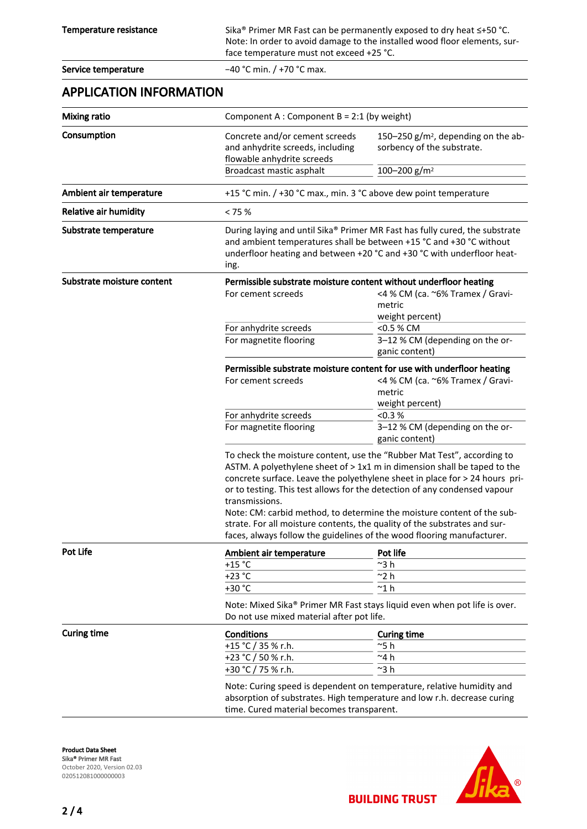Temperature resistance Sika® Primer MR Fast can be permanently exposed to dry heat ≤+50 °C. Note: In order to avoid damage to the installed wood floor elements, surface temperature must not exceed +25 °C.

Service temperature −40 °C min. / +70 °C max.

### APPLICATION INFORMATION

| <b>Mixing ratio</b>        |                                                                                                                                                                                                                                                                                                                                                                                                                                                                                                                                                                   | Component A : Component B = 2:1 (by weight)                                                                                             |  |  |
|----------------------------|-------------------------------------------------------------------------------------------------------------------------------------------------------------------------------------------------------------------------------------------------------------------------------------------------------------------------------------------------------------------------------------------------------------------------------------------------------------------------------------------------------------------------------------------------------------------|-----------------------------------------------------------------------------------------------------------------------------------------|--|--|
| Consumption                | Concrete and/or cement screeds<br>and anhydrite screeds, including<br>flowable anhydrite screeds                                                                                                                                                                                                                                                                                                                                                                                                                                                                  | 150-250 g/m <sup>2</sup> , depending on the ab-<br>sorbency of the substrate.                                                           |  |  |
|                            | Broadcast mastic asphalt                                                                                                                                                                                                                                                                                                                                                                                                                                                                                                                                          | 100-200 g/m <sup>2</sup>                                                                                                                |  |  |
| Ambient air temperature    | +15 °C min. / +30 °C max., min. 3 °C above dew point temperature                                                                                                                                                                                                                                                                                                                                                                                                                                                                                                  |                                                                                                                                         |  |  |
| Relative air humidity      | < 75%                                                                                                                                                                                                                                                                                                                                                                                                                                                                                                                                                             |                                                                                                                                         |  |  |
| Substrate temperature      | During laying and until Sika® Primer MR Fast has fully cured, the substrate<br>and ambient temperatures shall be between +15 °C and +30 °C without<br>underfloor heating and between +20 °C and +30 °C with underfloor heat-<br>ing.                                                                                                                                                                                                                                                                                                                              |                                                                                                                                         |  |  |
| Substrate moisture content | Permissible substrate moisture content without underfloor heating<br>For cement screeds                                                                                                                                                                                                                                                                                                                                                                                                                                                                           | <4 % CM (ca. ~6% Tramex / Gravi-<br>metric<br>weight percent)                                                                           |  |  |
|                            | For anhydrite screeds                                                                                                                                                                                                                                                                                                                                                                                                                                                                                                                                             | <0.5 % CM                                                                                                                               |  |  |
|                            | For magnetite flooring                                                                                                                                                                                                                                                                                                                                                                                                                                                                                                                                            | 3-12 % CM (depending on the or-<br>ganic content)                                                                                       |  |  |
|                            | For cement screeds                                                                                                                                                                                                                                                                                                                                                                                                                                                                                                                                                | Permissible substrate moisture content for use with underfloor heating<br><4 % CM (ca. ~6% Tramex / Gravi-<br>metric<br>weight percent) |  |  |
|                            | For anhydrite screeds                                                                                                                                                                                                                                                                                                                                                                                                                                                                                                                                             | < 0.3 %                                                                                                                                 |  |  |
|                            | For magnetite flooring                                                                                                                                                                                                                                                                                                                                                                                                                                                                                                                                            | 3-12 % CM (depending on the or-<br>ganic content)                                                                                       |  |  |
|                            | To check the moisture content, use the "Rubber Mat Test", according to<br>ASTM. A polyethylene sheet of > 1x1 m in dimension shall be taped to the<br>concrete surface. Leave the polyethylene sheet in place for > 24 hours pri-<br>or to testing. This test allows for the detection of any condensed vapour<br>transmissions.<br>Note: CM: carbid method, to determine the moisture content of the sub-<br>strate. For all moisture contents, the quality of the substrates and sur-<br>faces, always follow the guidelines of the wood flooring manufacturer. |                                                                                                                                         |  |  |
| Pot Life                   | Ambient air temperature                                                                                                                                                                                                                                                                                                                                                                                                                                                                                                                                           | Pot life                                                                                                                                |  |  |
|                            | $+15$ °C                                                                                                                                                                                                                                                                                                                                                                                                                                                                                                                                                          | $~^{\sim}3~$ h                                                                                                                          |  |  |
|                            | $+23 °C$                                                                                                                                                                                                                                                                                                                                                                                                                                                                                                                                                          | $^{\sim}$ 2 h                                                                                                                           |  |  |
|                            | +30 °C                                                                                                                                                                                                                                                                                                                                                                                                                                                                                                                                                            | $^{\sim}$ 1 $h$                                                                                                                         |  |  |
|                            | Note: Mixed Sika® Primer MR Fast stays liquid even when pot life is over.<br>Do not use mixed material after pot life.                                                                                                                                                                                                                                                                                                                                                                                                                                            |                                                                                                                                         |  |  |
| <b>Curing time</b>         | <b>Conditions</b>                                                                                                                                                                                                                                                                                                                                                                                                                                                                                                                                                 | <b>Curing time</b>                                                                                                                      |  |  |
|                            | +15 °C / 35 % r.h.<br>+23 °C / 50 % r.h.<br>+30 °C / 75 % r.h.                                                                                                                                                                                                                                                                                                                                                                                                                                                                                                    | ~5 h<br>~4 h<br>~3 h                                                                                                                    |  |  |
|                            | Note: Curing speed is dependent on temperature, relative humidity and<br>absorption of substrates. High temperature and low r.h. decrease curing<br>time. Cured material becomes transparent.                                                                                                                                                                                                                                                                                                                                                                     |                                                                                                                                         |  |  |

Product Data Sheet Sika® Primer MR Fast October 2020, Version 02.03 020512081000000003



**BUILDING TRUST**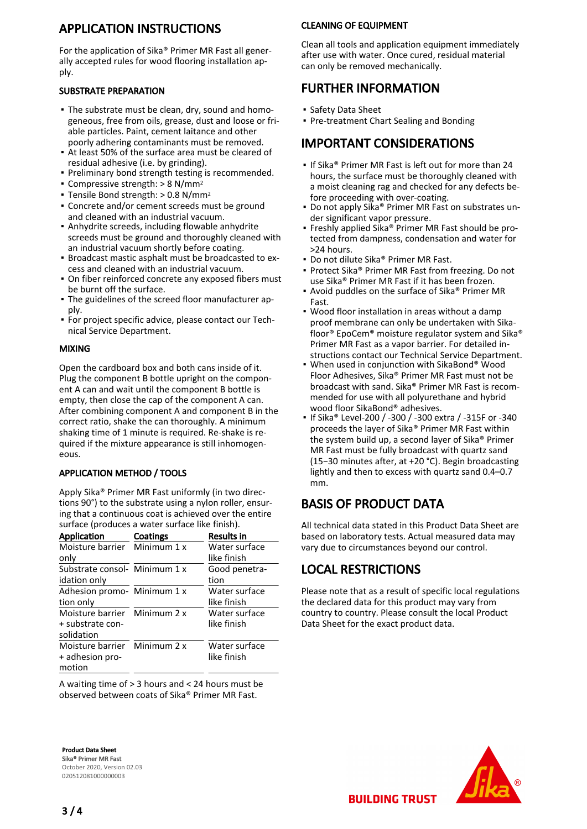# APPLICATION INSTRUCTIONS

For the application of Sika® Primer MR Fast all generally accepted rules for wood flooring installation apply.

#### SUBSTRATE PREPARATION

- The substrate must be clean, dry, sound and homo-▪ geneous, free from oils, grease, dust and loose or friable particles. Paint, cement laitance and other poorly adhering contaminants must be removed.
- At least 50% of the surface area must be cleared of residual adhesive (i.e. by grinding).
- Preliminary bond strength testing is recommended.
- Compressive strength:  $> 8$  N/mm<sup>2</sup>
- $\blacksquare$  Tensile Bond strength: > 0.8 N/mm<sup>2</sup>
- **Concrete and/or cement screeds must be ground** and cleaned with an industrial vacuum.
- **-** Anhydrite screeds, including flowable anhydrite screeds must be ground and thoroughly cleaned with an industrial vacuum shortly before coating.
- **Broadcast mastic asphalt must be broadcasted to ex**cess and cleaned with an industrial vacuum.
- On fiber reinforced concrete any exposed fibers must be burnt off the surface.
- The guidelines of the screed floor manufacturer ap-▪ ply.
- **For project specific advice, please contact our Tech**nical Service Department.

#### MIXING

Open the cardboard box and both cans inside of it. Plug the component B bottle upright on the component A can and wait until the component B bottle is empty, then close the cap of the component A can. After combining component A and component B in the correct ratio, shake the can thoroughly. A minimum shaking time of 1 minute is required. Re-shake is required if the mixture appearance is still inhomogeneous.

#### APPLICATION METHOD / TOOLS

Apply Sika® Primer MR Fast uniformly (in two directions 90°) to the substrate using a nylon roller, ensuring that a continuous coat is achieved over the entire surface (produces a water surface like finish).

| <b>Application</b>            | Coatings | <b>Results in</b> |
|-------------------------------|----------|-------------------|
| Moisture barrier Minimum 1 x  |          | Water surface     |
| only                          |          | like finish       |
| Substrate consol- Minimum 1 x |          | Good penetra-     |
| idation only                  |          | tion              |
| Adhesion promo- Minimum 1 x   |          | Water surface     |
| tion only                     |          | like finish       |
| Moisture barrier Minimum 2 x  |          | Water surface     |
| + substrate con-              |          | like finish       |
| solidation                    |          |                   |
| Moisture barrier Minimum 2 x  |          | Water surface     |
| + adhesion pro-               |          | like finish       |
| motion                        |          |                   |

A waiting time of > 3 hours and < 24 hours must be observed between coats of Sika® Primer MR Fast.

#### CLEANING OF EQUIPMENT

Clean all tools and application equipment immediately after use with water. Once cured, residual material can only be removed mechanically.

### FURTHER INFORMATION

- Safety Data Sheet
- Pre-treatment Chart Sealing and Bonding

### IMPORTANT CONSIDERATIONS

- **.** If Sika® Primer MR Fast is left out for more than 24 hours, the surface must be thoroughly cleaned with a moist cleaning rag and checked for any defects before proceeding with over-coating.
- Do not apply Sika® Primer MR Fast on substrates under significant vapor pressure.
- Freshly applied Sika® Primer MR Fast should be protected from dampness, condensation and water for >24 hours.
- Do not dilute Sika® Primer MR Fast.
- Protect Sika® Primer MR Fast from freezing. Do not use Sika® Primer MR Fast if it has been frozen.
- Avoid puddles on the surface of Sika® Primer MR Fast.
- Wood floor installation in areas without a damp proof membrane can only be undertaken with Sikafloor® EpoCem® moisture regulator system and Sika® Primer MR Fast as a vapor barrier. For detailed instructions contact our Technical Service Department.
- When used in conjunction with SikaBond® Wood Floor Adhesives, Sika® Primer MR Fast must not be broadcast with sand. Sika® Primer MR Fast is recommended for use with all polyurethane and hybrid wood floor SikaBond® adhesives. ▪
- If Sika® Level-200 / -300 / -300 extra / -315F or -340 proceeds the layer of Sika® Primer MR Fast within the system build up, a second layer of Sika® Primer MR Fast must be fully broadcast with quartz sand (15−30 minutes after, at +20 °C). Begin broadcasting lightly and then to excess with quartz sand 0.4–0.7 mm.

# BASIS OF PRODUCT DATA

All technical data stated in this Product Data Sheet are based on laboratory tests. Actual measured data may vary due to circumstances beyond our control.

# LOCAL RESTRICTIONS

Please note that as a result of specific local regulations the declared data for this product may vary from country to country. Please consult the local Product Data Sheet for the exact product data.

Product Data Sheet Sika® Primer MR Fast October 2020, Version 02.03 020512081000000003



**BUILDING TRUST**